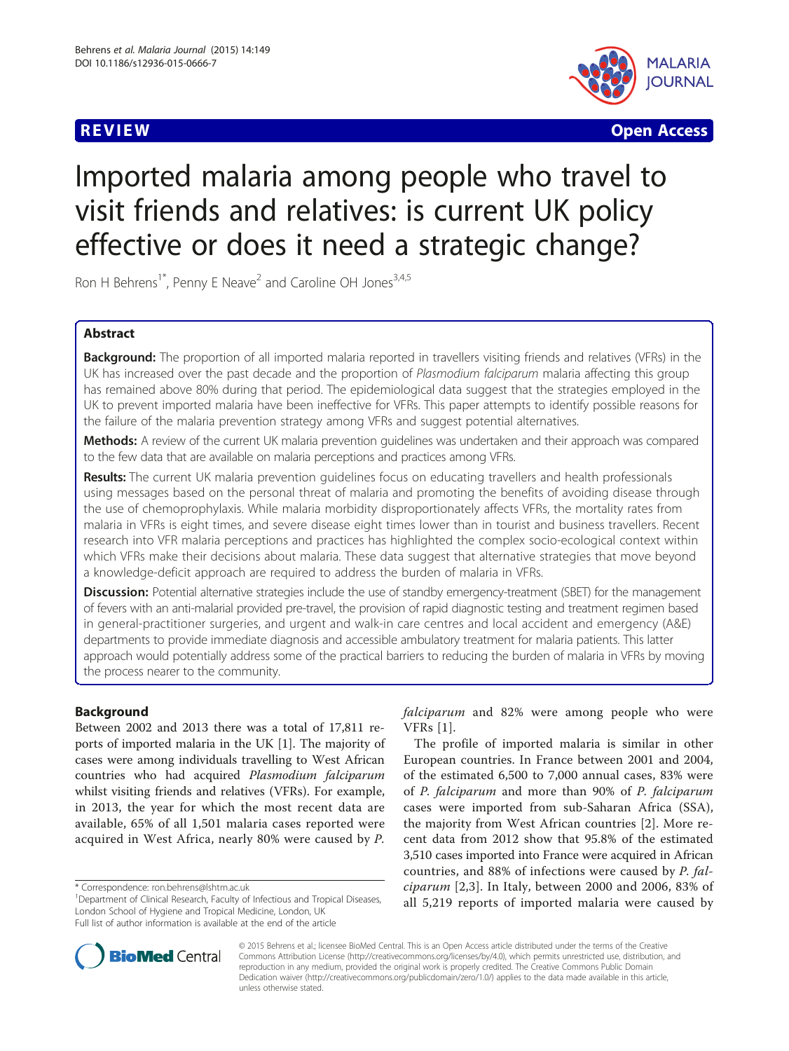

**REVIEW CONTROL** CONTROL CONTROL CONTROL CONTROL CONTROL CONTROL CONTROL CONTROL CONTROL CONTROL CONTROL CONTROL CONTROL CONTROL CONTROL CONTROL CONTROL CONTROL CONTROL CONTROL CONTROL CONTROL CONTROL CONTROL CONTROL CONTR

# Imported malaria among people who travel to visit friends and relatives: is current UK policy effective or does it need a strategic change?

Ron H Behrens<sup>1\*</sup>, Penny E Neave<sup>2</sup> and Caroline OH Jones<sup>3,4,5</sup>

# Abstract

Background: The proportion of all imported malaria reported in travellers visiting friends and relatives (VFRs) in the UK has increased over the past decade and the proportion of Plasmodium falciparum malaria affecting this group has remained above 80% during that period. The epidemiological data suggest that the strategies employed in the UK to prevent imported malaria have been ineffective for VFRs. This paper attempts to identify possible reasons for the failure of the malaria prevention strategy among VFRs and suggest potential alternatives.

Methods: A review of the current UK malaria prevention quidelines was undertaken and their approach was compared to the few data that are available on malaria perceptions and practices among VFRs.

Results: The current UK malaria prevention quidelines focus on educating travellers and health professionals using messages based on the personal threat of malaria and promoting the benefits of avoiding disease through the use of chemoprophylaxis. While malaria morbidity disproportionately affects VFRs, the mortality rates from malaria in VFRs is eight times, and severe disease eight times lower than in tourist and business travellers. Recent research into VFR malaria perceptions and practices has highlighted the complex socio-ecological context within which VFRs make their decisions about malaria. These data suggest that alternative strategies that move beyond a knowledge-deficit approach are required to address the burden of malaria in VFRs.

**Discussion:** Potential alternative strategies include the use of standby emergency-treatment (SBET) for the management of fevers with an anti-malarial provided pre-travel, the provision of rapid diagnostic testing and treatment regimen based in general-practitioner surgeries, and urgent and walk-in care centres and local accident and emergency (A&E) departments to provide immediate diagnosis and accessible ambulatory treatment for malaria patients. This latter approach would potentially address some of the practical barriers to reducing the burden of malaria in VFRs by moving the process nearer to the community.

# Background

Between 2002 and 2013 there was a total of 17,811 reports of imported malaria in the UK [[1\]](#page-5-0). The majority of cases were among individuals travelling to West African countries who had acquired Plasmodium falciparum whilst visiting friends and relatives (VFRs). For example, in 2013, the year for which the most recent data are available, 65% of all 1,501 malaria cases reported were acquired in West Africa, nearly 80% were caused by P.

falciparum and 82% were among people who were VFRs [[1\]](#page-5-0).

The profile of imported malaria is similar in other European countries. In France between 2001 and 2004, of the estimated 6,500 to 7,000 annual cases, 83% were of P. falciparum and more than 90% of P. falciparum cases were imported from sub-Saharan Africa (SSA), the majority from West African countries [[2](#page-5-0)]. More recent data from 2012 show that 95.8% of the estimated 3,510 cases imported into France were acquired in African countries, and 88% of infections were caused by P. falciparum [[2,3](#page-5-0)]. In Italy, between 2000 and 2006, 83% of all 5,219 reports of imported malaria were caused by



© 2015 Behrens et al.; licensee BioMed Central. This is an Open Access article distributed under the terms of the Creative Commons Attribution License [\(http://creativecommons.org/licenses/by/4.0\)](http://creativecommons.org/licenses/by/4.0), which permits unrestricted use, distribution, and reproduction in any medium, provided the original work is properly credited. The Creative Commons Public Domain Dedication waiver [\(http://creativecommons.org/publicdomain/zero/1.0/](http://creativecommons.org/publicdomain/zero/1.0/)) applies to the data made available in this article, unless otherwise stated.

<sup>\*</sup> Correspondence: [ron.behrens@lshtm.ac.uk](mailto:ron.behrens@lshtm.ac.uk) <sup>1</sup>

<sup>&</sup>lt;sup>1</sup>Department of Clinical Research, Faculty of Infectious and Tropical Diseases, London School of Hygiene and Tropical Medicine, London, UK Full list of author information is available at the end of the article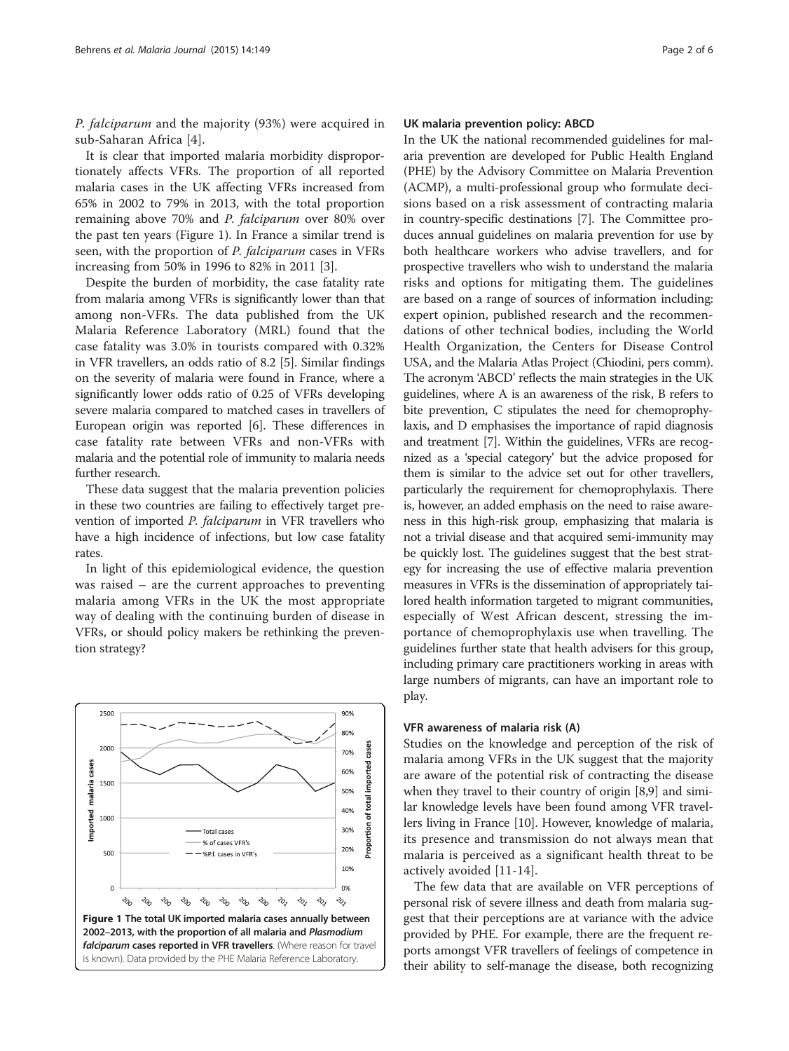P. falciparum and the majority (93%) were acquired in sub-Saharan Africa [[4](#page-5-0)].

It is clear that imported malaria morbidity disproportionately affects VFRs. The proportion of all reported malaria cases in the UK affecting VFRs increased from 65% in 2002 to 79% in 2013, with the total proportion remaining above 70% and P. falciparum over 80% over the past ten years (Figure 1). In France a similar trend is seen, with the proportion of P. falciparum cases in VFRs increasing from 50% in 1996 to 82% in 2011 [[3](#page-5-0)].

Despite the burden of morbidity, the case fatality rate from malaria among VFRs is significantly lower than that among non-VFRs. The data published from the UK Malaria Reference Laboratory (MRL) found that the case fatality was 3.0% in tourists compared with 0.32% in VFR travellers, an odds ratio of 8.2 [\[5](#page-5-0)]. Similar findings on the severity of malaria were found in France, where a significantly lower odds ratio of 0.25 of VFRs developing severe malaria compared to matched cases in travellers of European origin was reported [[6\]](#page-5-0). These differences in case fatality rate between VFRs and non-VFRs with malaria and the potential role of immunity to malaria needs further research.

These data suggest that the malaria prevention policies in these two countries are failing to effectively target prevention of imported P. falciparum in VFR travellers who have a high incidence of infections, but low case fatality rates.

In light of this epidemiological evidence, the question was raised – are the current approaches to preventing malaria among VFRs in the UK the most appropriate way of dealing with the continuing burden of disease in VFRs, or should policy makers be rethinking the prevention strategy?



# UK malaria prevention policy: ABCD

In the UK the national recommended guidelines for malaria prevention are developed for Public Health England (PHE) by the Advisory Committee on Malaria Prevention (ACMP), a multi-professional group who formulate decisions based on a risk assessment of contracting malaria in country-specific destinations [\[7\]](#page-5-0). The Committee produces annual guidelines on malaria prevention for use by both healthcare workers who advise travellers, and for prospective travellers who wish to understand the malaria risks and options for mitigating them. The guidelines are based on a range of sources of information including: expert opinion, published research and the recommendations of other technical bodies, including the World Health Organization, the Centers for Disease Control USA, and the Malaria Atlas Project (Chiodini, pers comm). The acronym 'ABCD' reflects the main strategies in the UK guidelines, where A is an awareness of the risk, B refers to bite prevention, C stipulates the need for chemoprophylaxis, and D emphasises the importance of rapid diagnosis and treatment [\[7\]](#page-5-0). Within the guidelines, VFRs are recognized as a 'special category' but the advice proposed for them is similar to the advice set out for other travellers, particularly the requirement for chemoprophylaxis. There is, however, an added emphasis on the need to raise awareness in this high-risk group, emphasizing that malaria is not a trivial disease and that acquired semi-immunity may be quickly lost. The guidelines suggest that the best strategy for increasing the use of effective malaria prevention measures in VFRs is the dissemination of appropriately tailored health information targeted to migrant communities, especially of West African descent, stressing the importance of chemoprophylaxis use when travelling. The guidelines further state that health advisers for this group, including primary care practitioners working in areas with large numbers of migrants, can have an important role to play.

# VFR awareness of malaria risk (A)

Studies on the knowledge and perception of the risk of malaria among VFRs in the UK suggest that the majority are aware of the potential risk of contracting the disease when they travel to their country of origin [\[8,9](#page-5-0)] and similar knowledge levels have been found among VFR travellers living in France [\[10\]](#page-5-0). However, knowledge of malaria, its presence and transmission do not always mean that malaria is perceived as a significant health threat to be actively avoided [[11-14\]](#page-5-0).

The few data that are available on VFR perceptions of personal risk of severe illness and death from malaria suggest that their perceptions are at variance with the advice provided by PHE. For example, there are the frequent reports amongst VFR travellers of feelings of competence in their ability to self-manage the disease, both recognizing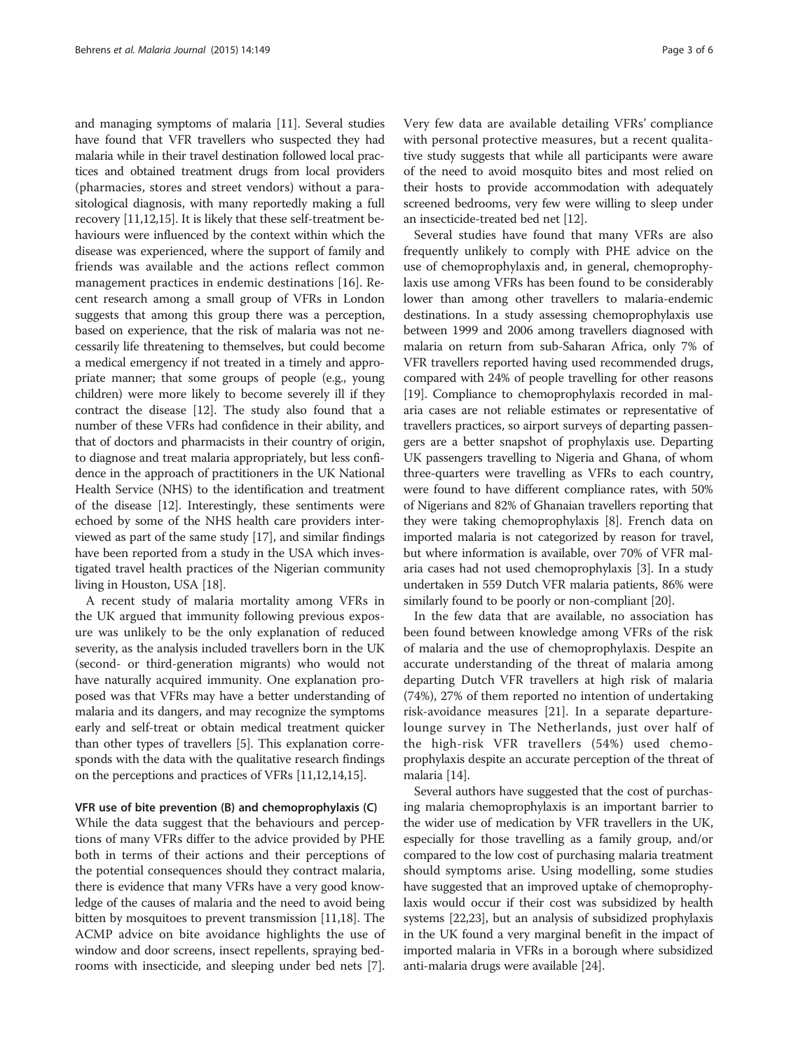and managing symptoms of malaria [[11](#page-5-0)]. Several studies have found that VFR travellers who suspected they had malaria while in their travel destination followed local practices and obtained treatment drugs from local providers (pharmacies, stores and street vendors) without a parasitological diagnosis, with many reportedly making a full recovery [\[11,12,15](#page-5-0)]. It is likely that these self-treatment behaviours were influenced by the context within which the disease was experienced, where the support of family and friends was available and the actions reflect common management practices in endemic destinations [\[16](#page-5-0)]. Recent research among a small group of VFRs in London suggests that among this group there was a perception, based on experience, that the risk of malaria was not necessarily life threatening to themselves, but could become a medical emergency if not treated in a timely and appropriate manner; that some groups of people (e.g., young children) were more likely to become severely ill if they contract the disease [[12](#page-5-0)]. The study also found that a number of these VFRs had confidence in their ability, and that of doctors and pharmacists in their country of origin, to diagnose and treat malaria appropriately, but less confidence in the approach of practitioners in the UK National Health Service (NHS) to the identification and treatment of the disease [\[12\]](#page-5-0). Interestingly, these sentiments were echoed by some of the NHS health care providers interviewed as part of the same study [\[17](#page-5-0)], and similar findings have been reported from a study in the USA which investigated travel health practices of the Nigerian community living in Houston, USA [[18](#page-5-0)].

A recent study of malaria mortality among VFRs in the UK argued that immunity following previous exposure was unlikely to be the only explanation of reduced severity, as the analysis included travellers born in the UK (second- or third-generation migrants) who would not have naturally acquired immunity. One explanation proposed was that VFRs may have a better understanding of malaria and its dangers, and may recognize the symptoms early and self-treat or obtain medical treatment quicker than other types of travellers [\[5](#page-5-0)]. This explanation corresponds with the data with the qualitative research findings on the perceptions and practices of VFRs [[11,12,14,15\]](#page-5-0).

# VFR use of bite prevention (B) and chemoprophylaxis (C)

While the data suggest that the behaviours and perceptions of many VFRs differ to the advice provided by PHE both in terms of their actions and their perceptions of the potential consequences should they contract malaria, there is evidence that many VFRs have a very good knowledge of the causes of malaria and the need to avoid being bitten by mosquitoes to prevent transmission [\[11,18](#page-5-0)]. The ACMP advice on bite avoidance highlights the use of window and door screens, insect repellents, spraying bedrooms with insecticide, and sleeping under bed nets [[7](#page-5-0)].

Very few data are available detailing VFRs' compliance with personal protective measures, but a recent qualitative study suggests that while all participants were aware of the need to avoid mosquito bites and most relied on their hosts to provide accommodation with adequately screened bedrooms, very few were willing to sleep under an insecticide-treated bed net [\[12](#page-5-0)].

Several studies have found that many VFRs are also frequently unlikely to comply with PHE advice on the use of chemoprophylaxis and, in general, chemoprophylaxis use among VFRs has been found to be considerably lower than among other travellers to malaria-endemic destinations. In a study assessing chemoprophylaxis use between 1999 and 2006 among travellers diagnosed with malaria on return from sub-Saharan Africa, only 7% of VFR travellers reported having used recommended drugs, compared with 24% of people travelling for other reasons [[19](#page-5-0)]. Compliance to chemoprophylaxis recorded in malaria cases are not reliable estimates or representative of travellers practices, so airport surveys of departing passengers are a better snapshot of prophylaxis use. Departing UK passengers travelling to Nigeria and Ghana, of whom three-quarters were travelling as VFRs to each country, were found to have different compliance rates, with 50% of Nigerians and 82% of Ghanaian travellers reporting that they were taking chemoprophylaxis [[8\]](#page-5-0). French data on imported malaria is not categorized by reason for travel, but where information is available, over 70% of VFR malaria cases had not used chemoprophylaxis [[3](#page-5-0)]. In a study undertaken in 559 Dutch VFR malaria patients, 86% were similarly found to be poorly or non-compliant [[20](#page-5-0)].

In the few data that are available, no association has been found between knowledge among VFRs of the risk of malaria and the use of chemoprophylaxis. Despite an accurate understanding of the threat of malaria among departing Dutch VFR travellers at high risk of malaria (74%), 27% of them reported no intention of undertaking risk-avoidance measures [\[21](#page-5-0)]. In a separate departurelounge survey in The Netherlands, just over half of the high-risk VFR travellers (54%) used chemoprophylaxis despite an accurate perception of the threat of malaria [\[14\]](#page-5-0).

Several authors have suggested that the cost of purchasing malaria chemoprophylaxis is an important barrier to the wider use of medication by VFR travellers in the UK, especially for those travelling as a family group, and/or compared to the low cost of purchasing malaria treatment should symptoms arise. Using modelling, some studies have suggested that an improved uptake of chemoprophylaxis would occur if their cost was subsidized by health systems [\[22,23\]](#page-5-0), but an analysis of subsidized prophylaxis in the UK found a very marginal benefit in the impact of imported malaria in VFRs in a borough where subsidized anti-malaria drugs were available [[24](#page-5-0)].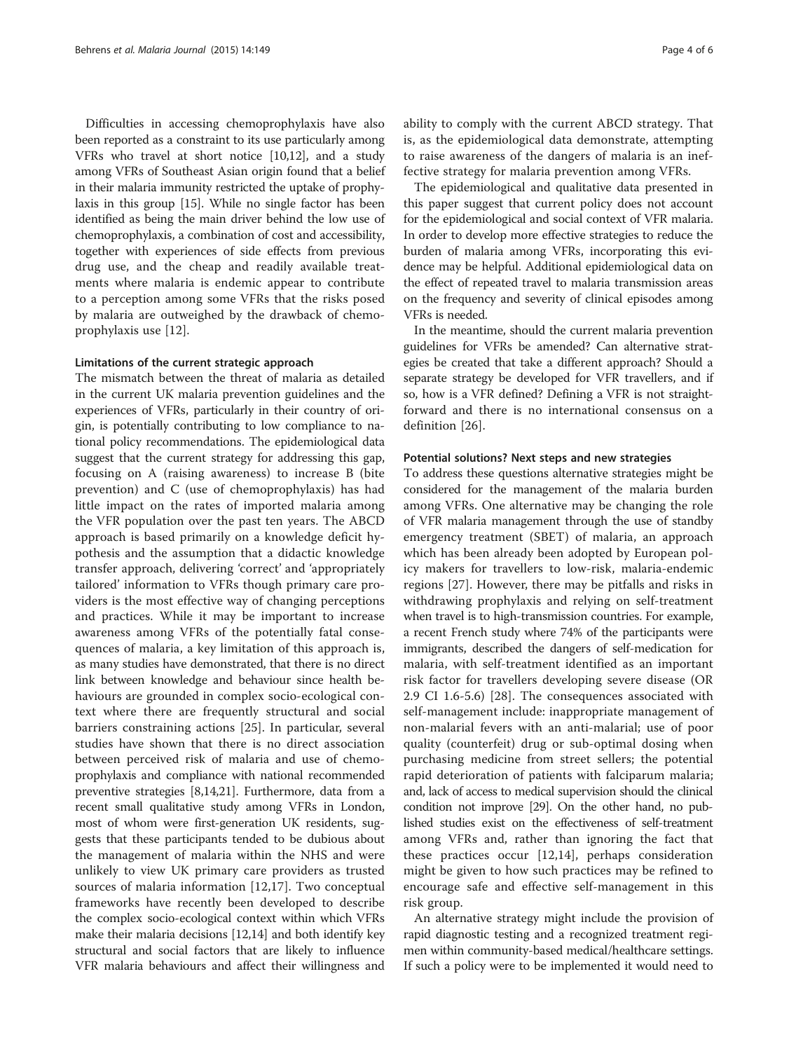Difficulties in accessing chemoprophylaxis have also been reported as a constraint to its use particularly among VFRs who travel at short notice [[10,12\]](#page-5-0), and a study among VFRs of Southeast Asian origin found that a belief in their malaria immunity restricted the uptake of prophylaxis in this group [\[15\]](#page-5-0). While no single factor has been identified as being the main driver behind the low use of chemoprophylaxis, a combination of cost and accessibility, together with experiences of side effects from previous drug use, and the cheap and readily available treatments where malaria is endemic appear to contribute to a perception among some VFRs that the risks posed by malaria are outweighed by the drawback of chemoprophylaxis use [[12\]](#page-5-0).

# Limitations of the current strategic approach

The mismatch between the threat of malaria as detailed in the current UK malaria prevention guidelines and the experiences of VFRs, particularly in their country of origin, is potentially contributing to low compliance to national policy recommendations. The epidemiological data suggest that the current strategy for addressing this gap, focusing on A (raising awareness) to increase B (bite prevention) and C (use of chemoprophylaxis) has had little impact on the rates of imported malaria among the VFR population over the past ten years. The ABCD approach is based primarily on a knowledge deficit hypothesis and the assumption that a didactic knowledge transfer approach, delivering 'correct' and 'appropriately tailored' information to VFRs though primary care providers is the most effective way of changing perceptions and practices. While it may be important to increase awareness among VFRs of the potentially fatal consequences of malaria, a key limitation of this approach is, as many studies have demonstrated, that there is no direct link between knowledge and behaviour since health behaviours are grounded in complex socio-ecological context where there are frequently structural and social barriers constraining actions [[25\]](#page-5-0). In particular, several studies have shown that there is no direct association between perceived risk of malaria and use of chemoprophylaxis and compliance with national recommended preventive strategies [[8,14,21\]](#page-5-0). Furthermore, data from a recent small qualitative study among VFRs in London, most of whom were first-generation UK residents, suggests that these participants tended to be dubious about the management of malaria within the NHS and were unlikely to view UK primary care providers as trusted sources of malaria information [\[12](#page-5-0),[17\]](#page-5-0). Two conceptual frameworks have recently been developed to describe the complex socio-ecological context within which VFRs make their malaria decisions [[12](#page-5-0),[14](#page-5-0)] and both identify key structural and social factors that are likely to influence VFR malaria behaviours and affect their willingness and

ability to comply with the current ABCD strategy. That is, as the epidemiological data demonstrate, attempting to raise awareness of the dangers of malaria is an ineffective strategy for malaria prevention among VFRs.

The epidemiological and qualitative data presented in this paper suggest that current policy does not account for the epidemiological and social context of VFR malaria. In order to develop more effective strategies to reduce the burden of malaria among VFRs, incorporating this evidence may be helpful. Additional epidemiological data on the effect of repeated travel to malaria transmission areas on the frequency and severity of clinical episodes among VFRs is needed.

In the meantime, should the current malaria prevention guidelines for VFRs be amended? Can alternative strategies be created that take a different approach? Should a separate strategy be developed for VFR travellers, and if so, how is a VFR defined? Defining a VFR is not straightforward and there is no international consensus on a definition [[26](#page-5-0)].

# Potential solutions? Next steps and new strategies

To address these questions alternative strategies might be considered for the management of the malaria burden among VFRs. One alternative may be changing the role of VFR malaria management through the use of standby emergency treatment (SBET) of malaria, an approach which has been already been adopted by European policy makers for travellers to low-risk, malaria-endemic regions [\[27](#page-5-0)]. However, there may be pitfalls and risks in withdrawing prophylaxis and relying on self-treatment when travel is to high-transmission countries. For example, a recent French study where 74% of the participants were immigrants, described the dangers of self-medication for malaria, with self-treatment identified as an important risk factor for travellers developing severe disease (OR 2.9 CI 1.6-5.6) [\[28](#page-5-0)]. The consequences associated with self-management include: inappropriate management of non-malarial fevers with an anti-malarial; use of poor quality (counterfeit) drug or sub-optimal dosing when purchasing medicine from street sellers; the potential rapid deterioration of patients with falciparum malaria; and, lack of access to medical supervision should the clinical condition not improve [[29\]](#page-5-0). On the other hand, no published studies exist on the effectiveness of self-treatment among VFRs and, rather than ignoring the fact that these practices occur [[12,14](#page-5-0)], perhaps consideration might be given to how such practices may be refined to encourage safe and effective self-management in this risk group.

An alternative strategy might include the provision of rapid diagnostic testing and a recognized treatment regimen within community-based medical/healthcare settings. If such a policy were to be implemented it would need to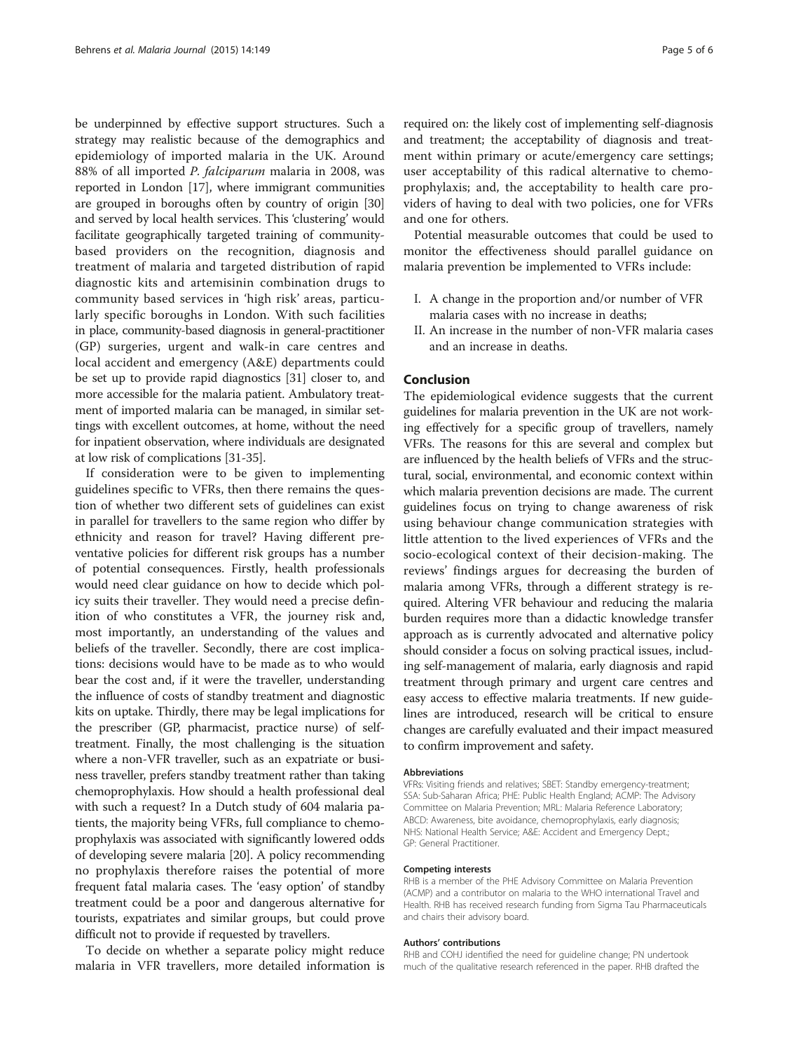be underpinned by effective support structures. Such a strategy may realistic because of the demographics and epidemiology of imported malaria in the UK. Around 88% of all imported P. falciparum malaria in 2008, was reported in London [\[17\]](#page-5-0), where immigrant communities are grouped in boroughs often by country of origin [[30](#page-5-0)] and served by local health services. This 'clustering' would facilitate geographically targeted training of communitybased providers on the recognition, diagnosis and treatment of malaria and targeted distribution of rapid diagnostic kits and artemisinin combination drugs to community based services in 'high risk' areas, particularly specific boroughs in London. With such facilities in place, community-based diagnosis in general-practitioner (GP) surgeries, urgent and walk-in care centres and local accident and emergency (A&E) departments could be set up to provide rapid diagnostics [[31](#page-5-0)] closer to, and more accessible for the malaria patient. Ambulatory treatment of imported malaria can be managed, in similar settings with excellent outcomes, at home, without the need for inpatient observation, where individuals are designated at low risk of complications [[31](#page-5-0)-[35](#page-5-0)].

If consideration were to be given to implementing guidelines specific to VFRs, then there remains the question of whether two different sets of guidelines can exist in parallel for travellers to the same region who differ by ethnicity and reason for travel? Having different preventative policies for different risk groups has a number of potential consequences. Firstly, health professionals would need clear guidance on how to decide which policy suits their traveller. They would need a precise definition of who constitutes a VFR, the journey risk and, most importantly, an understanding of the values and beliefs of the traveller. Secondly, there are cost implications: decisions would have to be made as to who would bear the cost and, if it were the traveller, understanding the influence of costs of standby treatment and diagnostic kits on uptake. Thirdly, there may be legal implications for the prescriber (GP, pharmacist, practice nurse) of selftreatment. Finally, the most challenging is the situation where a non-VFR traveller, such as an expatriate or business traveller, prefers standby treatment rather than taking chemoprophylaxis. How should a health professional deal with such a request? In a Dutch study of 604 malaria patients, the majority being VFRs, full compliance to chemoprophylaxis was associated with significantly lowered odds of developing severe malaria [\[20\]](#page-5-0). A policy recommending no prophylaxis therefore raises the potential of more frequent fatal malaria cases. The 'easy option' of standby treatment could be a poor and dangerous alternative for tourists, expatriates and similar groups, but could prove difficult not to provide if requested by travellers.

To decide on whether a separate policy might reduce malaria in VFR travellers, more detailed information is required on: the likely cost of implementing self-diagnosis and treatment; the acceptability of diagnosis and treatment within primary or acute/emergency care settings; user acceptability of this radical alternative to chemoprophylaxis; and, the acceptability to health care providers of having to deal with two policies, one for VFRs and one for others.

Potential measurable outcomes that could be used to monitor the effectiveness should parallel guidance on malaria prevention be implemented to VFRs include:

- I. A change in the proportion and/or number of VFR malaria cases with no increase in deaths;
- II. An increase in the number of non-VFR malaria cases and an increase in deaths.

# Conclusion

The epidemiological evidence suggests that the current guidelines for malaria prevention in the UK are not working effectively for a specific group of travellers, namely VFRs. The reasons for this are several and complex but are influenced by the health beliefs of VFRs and the structural, social, environmental, and economic context within which malaria prevention decisions are made. The current guidelines focus on trying to change awareness of risk using behaviour change communication strategies with little attention to the lived experiences of VFRs and the socio-ecological context of their decision-making. The reviews' findings argues for decreasing the burden of malaria among VFRs, through a different strategy is required. Altering VFR behaviour and reducing the malaria burden requires more than a didactic knowledge transfer approach as is currently advocated and alternative policy should consider a focus on solving practical issues, including self-management of malaria, early diagnosis and rapid treatment through primary and urgent care centres and easy access to effective malaria treatments. If new guidelines are introduced, research will be critical to ensure changes are carefully evaluated and their impact measured to confirm improvement and safety.

#### Abbreviations

VFRs: Visiting friends and relatives; SBET: Standby emergency-treatment; SSA: Sub-Saharan Africa; PHE: Public Health England; ACMP: The Advisory Committee on Malaria Prevention; MRL: Malaria Reference Laboratory; ABCD: Awareness, bite avoidance, chemoprophylaxis, early diagnosis; NHS: National Health Service; A&E: Accident and Emergency Dept.; GP: General Practitioner.

# Competing interests

RHB is a member of the PHE Advisory Committee on Malaria Prevention (ACMP) and a contributor on malaria to the WHO international Travel and Health. RHB has received research funding from Sigma Tau Pharmaceuticals and chairs their advisory board.

#### Authors' contributions

RHB and COHJ identified the need for guideline change; PN undertook much of the qualitative research referenced in the paper. RHB drafted the